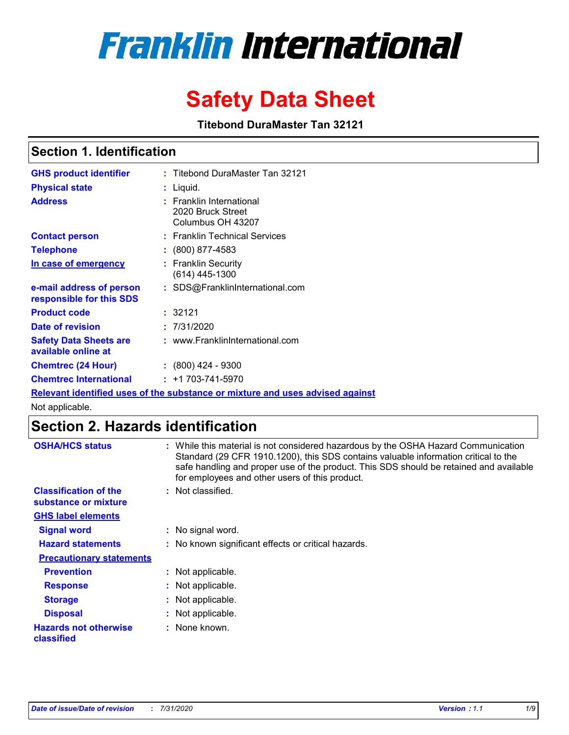# **Franklin International**

## **Safety Data Sheet**

**Titebond DuraMaster Tan 32121**

## **Section 1. Identification**

| <b>GHS product identifier</b>                        | : Titebond DuraMaster Tan 32121                                               |
|------------------------------------------------------|-------------------------------------------------------------------------------|
| <b>Physical state</b>                                | : Liquid.                                                                     |
| <b>Address</b>                                       | : Franklin International<br>2020 Bruck Street<br>Columbus OH 43207            |
| <b>Contact person</b>                                | : Franklin Technical Services                                                 |
| <b>Telephone</b>                                     | $\colon$ (800) 877-4583                                                       |
| In case of emergency                                 | : Franklin Security<br>$(614)$ 445-1300                                       |
| e-mail address of person<br>responsible for this SDS | : SDS@FranklinInternational.com                                               |
| <b>Product code</b>                                  | : 32121                                                                       |
| Date of revision                                     | : 7/31/2020                                                                   |
| <b>Safety Data Sheets are</b><br>available online at | : www.FranklinInternational.com                                               |
| <b>Chemtrec (24 Hour)</b>                            | $: (800)$ 424 - 9300                                                          |
| <b>Chemtrec International</b>                        | $: +1703 - 741 - 5970$                                                        |
|                                                      | Relevant identified uses of the substance or mixture and uses advised against |

Not applicable.

## **Section 2. Hazards identification**

| <b>OSHA/HCS status</b>                               |    | : While this material is not considered hazardous by the OSHA Hazard Communication<br>Standard (29 CFR 1910.1200), this SDS contains valuable information critical to the<br>safe handling and proper use of the product. This SDS should be retained and available<br>for employees and other users of this product. |
|------------------------------------------------------|----|-----------------------------------------------------------------------------------------------------------------------------------------------------------------------------------------------------------------------------------------------------------------------------------------------------------------------|
| <b>Classification of the</b><br>substance or mixture |    | Not classified.                                                                                                                                                                                                                                                                                                       |
| <b>GHS label elements</b>                            |    |                                                                                                                                                                                                                                                                                                                       |
| <b>Signal word</b>                                   |    | : No signal word.                                                                                                                                                                                                                                                                                                     |
| <b>Hazard statements</b>                             |    | : No known significant effects or critical hazards.                                                                                                                                                                                                                                                                   |
| <b>Precautionary statements</b>                      |    |                                                                                                                                                                                                                                                                                                                       |
| <b>Prevention</b>                                    |    | Not applicable.                                                                                                                                                                                                                                                                                                       |
| <b>Response</b>                                      | ÷. | Not applicable.                                                                                                                                                                                                                                                                                                       |
| <b>Storage</b>                                       | ÷. | Not applicable.                                                                                                                                                                                                                                                                                                       |
| <b>Disposal</b>                                      | ÷. | Not applicable.                                                                                                                                                                                                                                                                                                       |
| <b>Hazards not otherwise</b><br>classified           |    | : None known.                                                                                                                                                                                                                                                                                                         |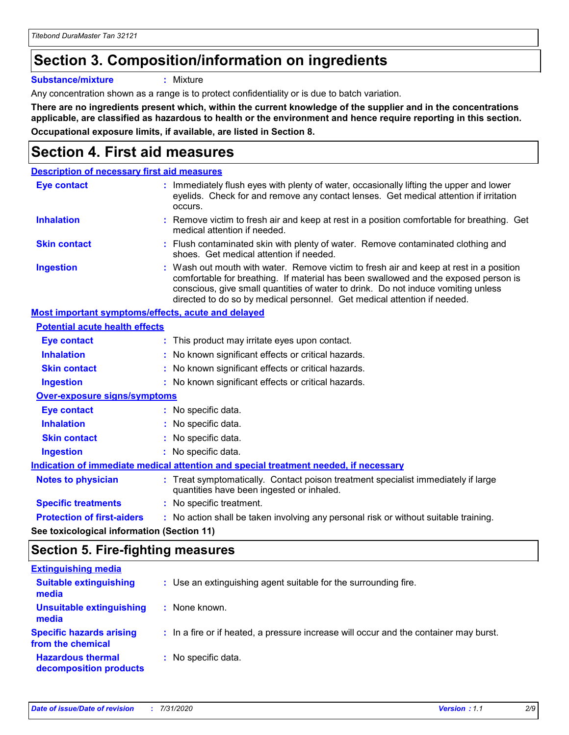## **Section 3. Composition/information on ingredients**

**Substance/mixture :** Mixture

Any concentration shown as a range is to protect confidentiality or is due to batch variation.

**There are no ingredients present which, within the current knowledge of the supplier and in the concentrations applicable, are classified as hazardous to health or the environment and hence require reporting in this section. Occupational exposure limits, if available, are listed in Section 8.**

## **Section 4. First aid measures**

| <b>Description of necessary first aid measures</b>        |                                                                                                                                                                                                                                                                                                                                                |
|-----------------------------------------------------------|------------------------------------------------------------------------------------------------------------------------------------------------------------------------------------------------------------------------------------------------------------------------------------------------------------------------------------------------|
| <b>Eye contact</b>                                        | : Immediately flush eyes with plenty of water, occasionally lifting the upper and lower<br>eyelids. Check for and remove any contact lenses. Get medical attention if irritation<br>occurs.                                                                                                                                                    |
| <b>Inhalation</b>                                         | : Remove victim to fresh air and keep at rest in a position comfortable for breathing. Get<br>medical attention if needed.                                                                                                                                                                                                                     |
| <b>Skin contact</b>                                       | : Flush contaminated skin with plenty of water. Remove contaminated clothing and<br>shoes. Get medical attention if needed.                                                                                                                                                                                                                    |
| <b>Ingestion</b>                                          | : Wash out mouth with water. Remove victim to fresh air and keep at rest in a position<br>comfortable for breathing. If material has been swallowed and the exposed person is<br>conscious, give small quantities of water to drink. Do not induce vomiting unless<br>directed to do so by medical personnel. Get medical attention if needed. |
| <b>Most important symptoms/effects, acute and delayed</b> |                                                                                                                                                                                                                                                                                                                                                |
| <b>Potential acute health effects</b>                     |                                                                                                                                                                                                                                                                                                                                                |
| Eye contact                                               | : This product may irritate eyes upon contact.                                                                                                                                                                                                                                                                                                 |
| <b>Inhalation</b>                                         | : No known significant effects or critical hazards.                                                                                                                                                                                                                                                                                            |
| <b>Skin contact</b>                                       | : No known significant effects or critical hazards.                                                                                                                                                                                                                                                                                            |
| <b>Ingestion</b>                                          | : No known significant effects or critical hazards.                                                                                                                                                                                                                                                                                            |
| <b>Over-exposure signs/symptoms</b>                       |                                                                                                                                                                                                                                                                                                                                                |
| <b>Eye contact</b>                                        | : No specific data.                                                                                                                                                                                                                                                                                                                            |
| <b>Inhalation</b>                                         | : No specific data.                                                                                                                                                                                                                                                                                                                            |
| <b>Skin contact</b>                                       | : No specific data.                                                                                                                                                                                                                                                                                                                            |
| <b>Ingestion</b>                                          | : No specific data.                                                                                                                                                                                                                                                                                                                            |
|                                                           | Indication of immediate medical attention and special treatment needed, if necessary                                                                                                                                                                                                                                                           |
| <b>Notes to physician</b>                                 | : Treat symptomatically. Contact poison treatment specialist immediately if large<br>quantities have been ingested or inhaled.                                                                                                                                                                                                                 |
| <b>Specific treatments</b>                                | : No specific treatment.                                                                                                                                                                                                                                                                                                                       |
| <b>Protection of first-aiders</b>                         | : No action shall be taken involving any personal risk or without suitable training.                                                                                                                                                                                                                                                           |
|                                                           |                                                                                                                                                                                                                                                                                                                                                |

**See toxicological information (Section 11)**

## **Section 5. Fire-fighting measures**

| <b>Extinguishing media</b>                           |                                                                                       |
|------------------------------------------------------|---------------------------------------------------------------------------------------|
| <b>Suitable extinguishing</b><br>media               | : Use an extinguishing agent suitable for the surrounding fire.                       |
| <b>Unsuitable extinguishing</b><br>media             | : None known.                                                                         |
| <b>Specific hazards arising</b><br>from the chemical | : In a fire or if heated, a pressure increase will occur and the container may burst. |
| <b>Hazardous thermal</b><br>decomposition products   | : No specific data.                                                                   |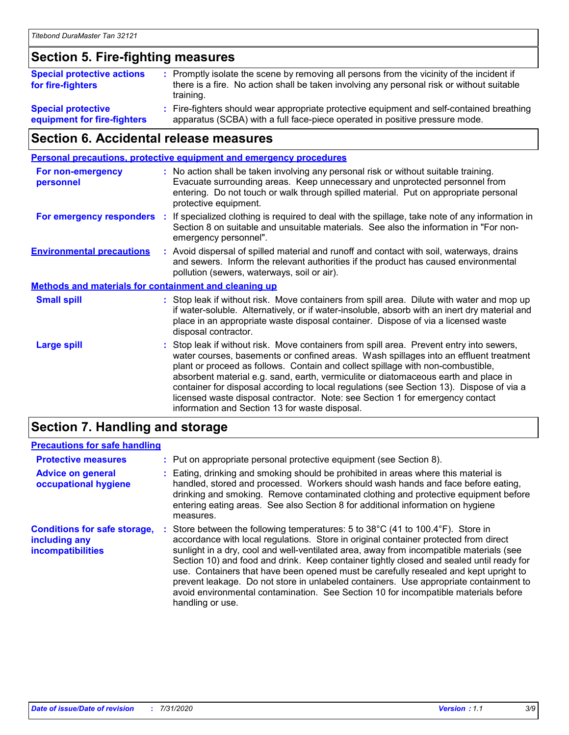## **Section 5. Fire-fighting measures**

| <b>Special protective actions</b><br>for fire-fighters   | : Promptly isolate the scene by removing all persons from the vicinity of the incident if<br>there is a fire. No action shall be taken involving any personal risk or without suitable<br>training. |
|----------------------------------------------------------|-----------------------------------------------------------------------------------------------------------------------------------------------------------------------------------------------------|
| <b>Special protective</b><br>equipment for fire-fighters | : Fire-fighters should wear appropriate protective equipment and self-contained breathing<br>apparatus (SCBA) with a full face-piece operated in positive pressure mode.                            |

## **Section 6. Accidental release measures**

|                                                              | <b>Personal precautions, protective equipment and emergency procedures</b> |                                                                                                                                                                                                                                                                                                                                                                                                                                                                                                                                                                                            |  |
|--------------------------------------------------------------|----------------------------------------------------------------------------|--------------------------------------------------------------------------------------------------------------------------------------------------------------------------------------------------------------------------------------------------------------------------------------------------------------------------------------------------------------------------------------------------------------------------------------------------------------------------------------------------------------------------------------------------------------------------------------------|--|
| <b>For non-emergency</b><br>personnel                        |                                                                            | : No action shall be taken involving any personal risk or without suitable training.<br>Evacuate surrounding areas. Keep unnecessary and unprotected personnel from<br>entering. Do not touch or walk through spilled material. Put on appropriate personal<br>protective equipment.                                                                                                                                                                                                                                                                                                       |  |
| For emergency responders                                     |                                                                            | : If specialized clothing is required to deal with the spillage, take note of any information in<br>Section 8 on suitable and unsuitable materials. See also the information in "For non-<br>emergency personnel".                                                                                                                                                                                                                                                                                                                                                                         |  |
| <b>Environmental precautions</b>                             |                                                                            | : Avoid dispersal of spilled material and runoff and contact with soil, waterways, drains<br>and sewers. Inform the relevant authorities if the product has caused environmental<br>pollution (sewers, waterways, soil or air).                                                                                                                                                                                                                                                                                                                                                            |  |
| <b>Methods and materials for containment and cleaning up</b> |                                                                            |                                                                                                                                                                                                                                                                                                                                                                                                                                                                                                                                                                                            |  |
| <b>Small spill</b>                                           |                                                                            | : Stop leak if without risk. Move containers from spill area. Dilute with water and mop up<br>if water-soluble. Alternatively, or if water-insoluble, absorb with an inert dry material and<br>place in an appropriate waste disposal container. Dispose of via a licensed waste<br>disposal contractor.                                                                                                                                                                                                                                                                                   |  |
| <b>Large spill</b>                                           |                                                                            | : Stop leak if without risk. Move containers from spill area. Prevent entry into sewers,<br>water courses, basements or confined areas. Wash spillages into an effluent treatment<br>plant or proceed as follows. Contain and collect spillage with non-combustible,<br>absorbent material e.g. sand, earth, vermiculite or diatomaceous earth and place in<br>container for disposal according to local regulations (see Section 13). Dispose of via a<br>licensed waste disposal contractor. Note: see Section 1 for emergency contact<br>information and Section 13 for waste disposal. |  |
|                                                              |                                                                            |                                                                                                                                                                                                                                                                                                                                                                                                                                                                                                                                                                                            |  |

## **Section 7. Handling and storage**

#### **Precautions for safe handling**

| <b>Protective measures</b>                                                | : Put on appropriate personal protective equipment (see Section 8).                                                                                                                                                                                                                                                                                                                                                                                                                                                                                                                                                                                      |
|---------------------------------------------------------------------------|----------------------------------------------------------------------------------------------------------------------------------------------------------------------------------------------------------------------------------------------------------------------------------------------------------------------------------------------------------------------------------------------------------------------------------------------------------------------------------------------------------------------------------------------------------------------------------------------------------------------------------------------------------|
| <b>Advice on general</b><br>occupational hygiene                          | : Eating, drinking and smoking should be prohibited in areas where this material is<br>handled, stored and processed. Workers should wash hands and face before eating,<br>drinking and smoking. Remove contaminated clothing and protective equipment before<br>entering eating areas. See also Section 8 for additional information on hygiene<br>measures.                                                                                                                                                                                                                                                                                            |
| <b>Conditions for safe storage,</b><br>including any<br>incompatibilities | Store between the following temperatures: 5 to 38°C (41 to 100.4°F). Store in<br>accordance with local regulations. Store in original container protected from direct<br>sunlight in a dry, cool and well-ventilated area, away from incompatible materials (see<br>Section 10) and food and drink. Keep container tightly closed and sealed until ready for<br>use. Containers that have been opened must be carefully resealed and kept upright to<br>prevent leakage. Do not store in unlabeled containers. Use appropriate containment to<br>avoid environmental contamination. See Section 10 for incompatible materials before<br>handling or use. |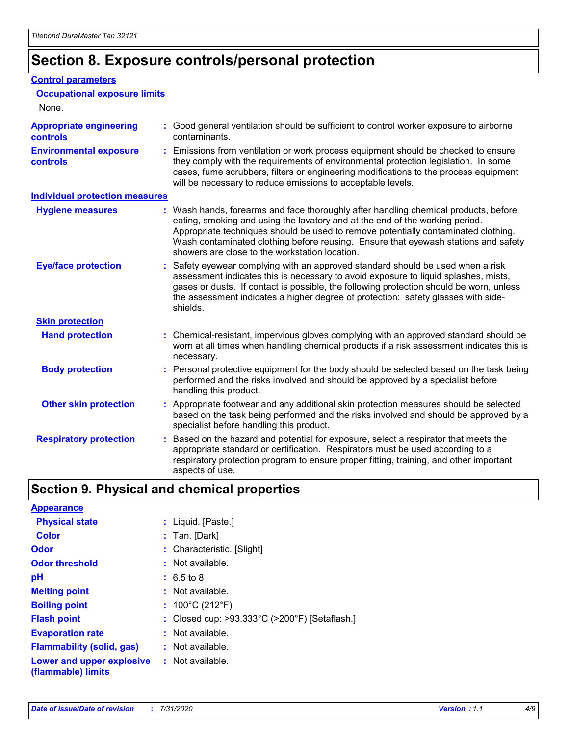## **Section 8. Exposure controls/personal protection**

#### **Control parameters**

| <b>Occupational exposure limits</b>              |                                                                                                                                                                                                                                                                                                                                                                                                   |
|--------------------------------------------------|---------------------------------------------------------------------------------------------------------------------------------------------------------------------------------------------------------------------------------------------------------------------------------------------------------------------------------------------------------------------------------------------------|
| None.                                            |                                                                                                                                                                                                                                                                                                                                                                                                   |
| <b>Appropriate engineering</b><br>controls       | : Good general ventilation should be sufficient to control worker exposure to airborne<br>contaminants.                                                                                                                                                                                                                                                                                           |
| <b>Environmental exposure</b><br><b>controls</b> | : Emissions from ventilation or work process equipment should be checked to ensure<br>they comply with the requirements of environmental protection legislation. In some<br>cases, fume scrubbers, filters or engineering modifications to the process equipment<br>will be necessary to reduce emissions to acceptable levels.                                                                   |
| <b>Individual protection measures</b>            |                                                                                                                                                                                                                                                                                                                                                                                                   |
| <b>Hygiene measures</b>                          | : Wash hands, forearms and face thoroughly after handling chemical products, before<br>eating, smoking and using the lavatory and at the end of the working period.<br>Appropriate techniques should be used to remove potentially contaminated clothing.<br>Wash contaminated clothing before reusing. Ensure that eyewash stations and safety<br>showers are close to the workstation location. |
| <b>Eye/face protection</b>                       | : Safety eyewear complying with an approved standard should be used when a risk<br>assessment indicates this is necessary to avoid exposure to liquid splashes, mists,<br>gases or dusts. If contact is possible, the following protection should be worn, unless<br>the assessment indicates a higher degree of protection: safety glasses with side-<br>shields.                                |
| <b>Skin protection</b>                           |                                                                                                                                                                                                                                                                                                                                                                                                   |
| <b>Hand protection</b>                           | : Chemical-resistant, impervious gloves complying with an approved standard should be<br>worn at all times when handling chemical products if a risk assessment indicates this is<br>necessary.                                                                                                                                                                                                   |
| <b>Body protection</b>                           | : Personal protective equipment for the body should be selected based on the task being<br>performed and the risks involved and should be approved by a specialist before<br>handling this product.                                                                                                                                                                                               |
| <b>Other skin protection</b>                     | : Appropriate footwear and any additional skin protection measures should be selected<br>based on the task being performed and the risks involved and should be approved by a<br>specialist before handling this product.                                                                                                                                                                         |
| <b>Respiratory protection</b>                    | : Based on the hazard and potential for exposure, select a respirator that meets the<br>appropriate standard or certification. Respirators must be used according to a<br>respiratory protection program to ensure proper fitting, training, and other important<br>aspects of use.                                                                                                               |

## **Section 9. Physical and chemical properties**

| <b>Appearance</b>                                                       |                                               |
|-------------------------------------------------------------------------|-----------------------------------------------|
| <b>Physical state</b>                                                   | : Liquid. [Paste.]                            |
| <b>Color</b>                                                            | $:$ Tan. [Dark]                               |
| Odor                                                                    | : Characteristic. [Slight]                    |
| <b>Odor threshold</b>                                                   | $:$ Not available.                            |
| рH                                                                      | $: 6.5 \text{ to } 8$                         |
| <b>Melting point</b>                                                    | $:$ Not available.                            |
| <b>Boiling point</b>                                                    | : $100^{\circ}$ C (212 $^{\circ}$ F)          |
| <b>Flash point</b>                                                      | : Closed cup: >93.333°C (>200°F) [Setaflash.] |
| <b>Evaporation rate</b>                                                 | : Not available.                              |
| <b>Flammability (solid, gas)</b>                                        | : Not available.                              |
| <b>Lower and upper explosive : Not available.</b><br>(flammable) limits |                                               |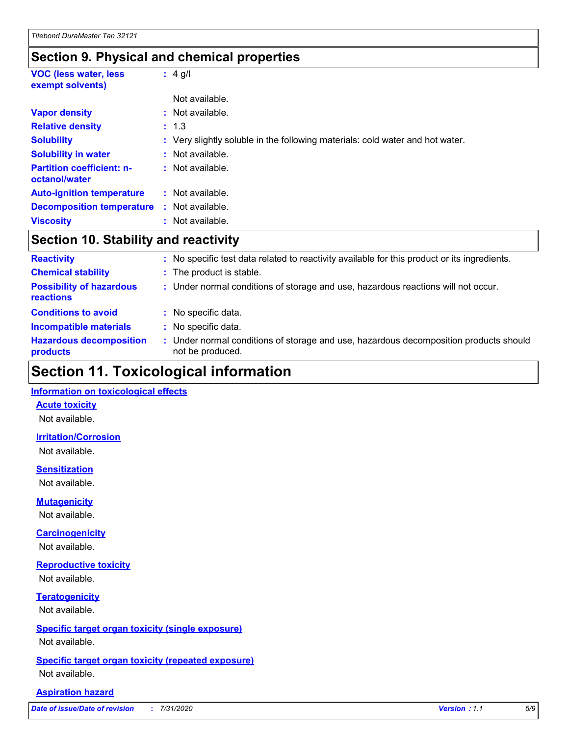## **Section 9. Physical and chemical properties**

| <b>VOC (less water, less)</b><br>exempt solvents) | $: 4$ g/l                                                                     |
|---------------------------------------------------|-------------------------------------------------------------------------------|
|                                                   | Not available.                                                                |
| <b>Vapor density</b>                              | : Not available.                                                              |
| <b>Relative density</b>                           | : 1.3                                                                         |
| <b>Solubility</b>                                 | : Very slightly soluble in the following materials: cold water and hot water. |
| <b>Solubility in water</b>                        | : Not available.                                                              |
| <b>Partition coefficient: n-</b><br>octanol/water | : Not available.                                                              |
| <b>Auto-ignition temperature</b>                  | : Not available.                                                              |
| <b>Decomposition temperature</b>                  | : Not available.                                                              |
| <b>Viscosity</b>                                  | : Not available.                                                              |

## **Section 10. Stability and reactivity**

| <b>Reactivity</b>                            | : No specific test data related to reactivity available for this product or its ingredients.              |
|----------------------------------------------|-----------------------------------------------------------------------------------------------------------|
| <b>Chemical stability</b>                    | : The product is stable.                                                                                  |
| <b>Possibility of hazardous</b><br>reactions | : Under normal conditions of storage and use, hazardous reactions will not occur.                         |
| <b>Conditions to avoid</b>                   | : No specific data.                                                                                       |
| <b>Incompatible materials</b>                | : No specific data.                                                                                       |
| <b>Hazardous decomposition</b><br>products   | : Under normal conditions of storage and use, hazardous decomposition products should<br>not be produced. |

## **Section 11. Toxicological information**

#### **Information on toxicological effects**

#### **Acute toxicity**

Not available.

#### **Irritation/Corrosion**

Not available.

#### **Sensitization**

Not available.

#### **Mutagenicity**

Not available.

#### **Carcinogenicity**

Not available.

#### **Reproductive toxicity**

Not available.

## **Teratogenicity**

Not available.

#### **Specific target organ toxicity (single exposure)**

Not available.

#### **Specific target organ toxicity (repeated exposure)** Not available.

#### **Aspiration hazard**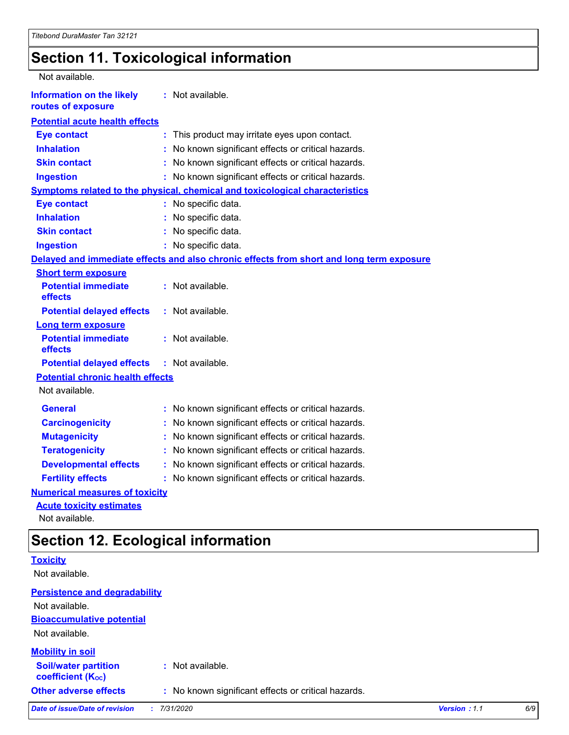## **Section 11. Toxicological information**

| Not available.                                         |                                                                                          |
|--------------------------------------------------------|------------------------------------------------------------------------------------------|
| <b>Information on the likely</b><br>routes of exposure | : Not available.                                                                         |
| <b>Potential acute health effects</b>                  |                                                                                          |
| <b>Eye contact</b>                                     | This product may irritate eyes upon contact.<br>÷.                                       |
| <b>Inhalation</b>                                      | No known significant effects or critical hazards.                                        |
| <b>Skin contact</b>                                    | No known significant effects or critical hazards.                                        |
| <b>Ingestion</b>                                       | : No known significant effects or critical hazards.                                      |
|                                                        | <b>Symptoms related to the physical, chemical and toxicological characteristics</b>      |
| <b>Eye contact</b>                                     | : No specific data.                                                                      |
| <b>Inhalation</b>                                      | : No specific data.                                                                      |
| <b>Skin contact</b>                                    | : No specific data.                                                                      |
| <b>Ingestion</b>                                       | : No specific data.                                                                      |
|                                                        | Delayed and immediate effects and also chronic effects from short and long term exposure |
| <b>Short term exposure</b>                             |                                                                                          |
| <b>Potential immediate</b><br>effects                  | : Not available.                                                                         |
| <b>Potential delayed effects</b>                       | : Not available.                                                                         |
| <b>Long term exposure</b>                              |                                                                                          |
| <b>Potential immediate</b><br>effects                  | : Not available.                                                                         |
| <b>Potential delayed effects</b>                       | : Not available.                                                                         |
| <b>Potential chronic health effects</b>                |                                                                                          |
| Not available.                                         |                                                                                          |
| <b>General</b>                                         | : No known significant effects or critical hazards.                                      |
| <b>Carcinogenicity</b>                                 | : No known significant effects or critical hazards.                                      |
| <b>Mutagenicity</b>                                    | No known significant effects or critical hazards.                                        |
| <b>Teratogenicity</b>                                  | No known significant effects or critical hazards.                                        |
| <b>Developmental effects</b>                           | No known significant effects or critical hazards.                                        |
| <b>Fertility effects</b>                               | No known significant effects or critical hazards.                                        |
| <b>Numerical measures of toxicity</b>                  |                                                                                          |
| <b>Acute toxicity estimates</b>                        |                                                                                          |

Not available.

## **Section 12. Ecological information**

|                                                         | ັ                                                   |              |     |
|---------------------------------------------------------|-----------------------------------------------------|--------------|-----|
| <b>Toxicity</b>                                         |                                                     |              |     |
| Not available.                                          |                                                     |              |     |
| <b>Persistence and degradability</b>                    |                                                     |              |     |
| Not available.                                          |                                                     |              |     |
| <b>Bioaccumulative potential</b>                        |                                                     |              |     |
| Not available.                                          |                                                     |              |     |
| <b>Mobility in soil</b>                                 |                                                     |              |     |
| <b>Soil/water partition</b><br><b>coefficient (Koc)</b> | : Not available.                                    |              |     |
| <b>Other adverse effects</b>                            | : No known significant effects or critical hazards. |              |     |
| <b>Date of issue/Date of revision</b>                   | 7/31/2020<br>t.                                     | Version: 1.1 | 6/9 |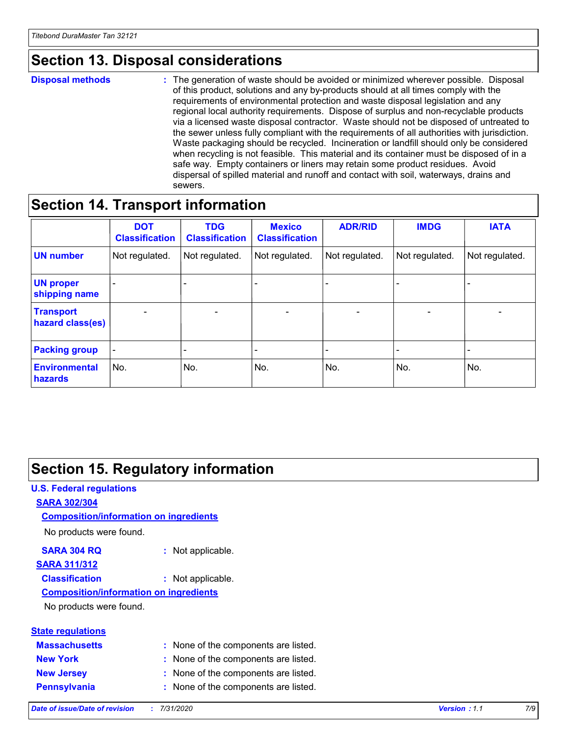## **Section 13. Disposal considerations**

#### **Disposal methods :**

The generation of waste should be avoided or minimized wherever possible. Disposal of this product, solutions and any by-products should at all times comply with the requirements of environmental protection and waste disposal legislation and any regional local authority requirements. Dispose of surplus and non-recyclable products via a licensed waste disposal contractor. Waste should not be disposed of untreated to the sewer unless fully compliant with the requirements of all authorities with jurisdiction. Waste packaging should be recycled. Incineration or landfill should only be considered when recycling is not feasible. This material and its container must be disposed of in a safe way. Empty containers or liners may retain some product residues. Avoid dispersal of spilled material and runoff and contact with soil, waterways, drains and sewers.

## **Section 14. Transport information**

|                                      | <b>DOT</b><br><b>Classification</b> | <b>TDG</b><br><b>Classification</b> | <b>Mexico</b><br><b>Classification</b> | <b>ADR/RID</b>           | <b>IMDG</b>              | <b>IATA</b>              |
|--------------------------------------|-------------------------------------|-------------------------------------|----------------------------------------|--------------------------|--------------------------|--------------------------|
| <b>UN number</b>                     | Not regulated.                      | Not regulated.                      | Not regulated.                         | Not regulated.           | Not regulated.           | Not regulated.           |
| <b>UN proper</b><br>shipping name    | $\overline{\phantom{0}}$            | $\qquad \qquad \blacksquare$        |                                        |                          |                          | $\blacksquare$           |
| <b>Transport</b><br>hazard class(es) | $\overline{\phantom{a}}$            | $\overline{\phantom{a}}$            | $\overline{\phantom{a}}$               | $\overline{\phantom{a}}$ | $\overline{\phantom{a}}$ | $\overline{\phantom{0}}$ |
| <b>Packing group</b>                 | $\overline{\phantom{a}}$            |                                     |                                        |                          |                          | -                        |
| <b>Environmental</b><br>hazards      | No.                                 | No.                                 | No.                                    | No.                      | No.                      | No.                      |

## **Section 15. Regulatory information**

#### **U.S. Federal regulations SARA 302/304** No products were found. **Composition/information on ingredients**

#### **SARA 304 RQ :** Not applicable.

## **SARA 311/312**

**Classification :** Not applicable.

#### **Composition/information on ingredients**

No products were found.

| <b>State regulations</b> |       |
|--------------------------|-------|
| <b>Massachusetts</b>     | : Non |
| <b>New York</b>          | : Nor |

**ne of the components are listed.** 

- **ne of the components are listed.**
- **New Jersey :** None of the components are listed.
- **Pennsylvania :** None of the components are listed.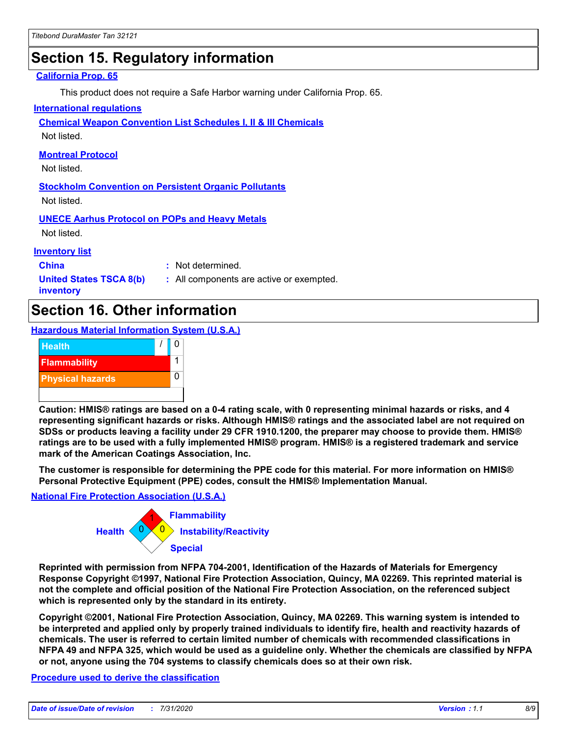## **Section 15. Regulatory information**

#### **California Prop. 65**

This product does not require a Safe Harbor warning under California Prop. 65.

#### **International regulations**

**Chemical Weapon Convention List Schedules I, II & III Chemicals**

Not listed.

#### **Montreal Protocol**

Not listed.

**Stockholm Convention on Persistent Organic Pollutants** Not listed.

**UNECE Aarhus Protocol on POPs and Heavy Metals**

Not listed.

#### **Inventory list**

**China :** Not determined.

**United States TSCA 8(b) inventory**

**:** All components are active or exempted.

## **Section 16. Other information**

**Hazardous Material Information System (U.S.A.)**



**Caution: HMIS® ratings are based on a 0-4 rating scale, with 0 representing minimal hazards or risks, and 4 representing significant hazards or risks. Although HMIS® ratings and the associated label are not required on SDSs or products leaving a facility under 29 CFR 1910.1200, the preparer may choose to provide them. HMIS® ratings are to be used with a fully implemented HMIS® program. HMIS® is a registered trademark and service mark of the American Coatings Association, Inc.**

**The customer is responsible for determining the PPE code for this material. For more information on HMIS® Personal Protective Equipment (PPE) codes, consult the HMIS® Implementation Manual.**

#### **National Fire Protection Association (U.S.A.)**



**Reprinted with permission from NFPA 704-2001, Identification of the Hazards of Materials for Emergency Response Copyright ©1997, National Fire Protection Association, Quincy, MA 02269. This reprinted material is not the complete and official position of the National Fire Protection Association, on the referenced subject which is represented only by the standard in its entirety.**

**Copyright ©2001, National Fire Protection Association, Quincy, MA 02269. This warning system is intended to be interpreted and applied only by properly trained individuals to identify fire, health and reactivity hazards of chemicals. The user is referred to certain limited number of chemicals with recommended classifications in NFPA 49 and NFPA 325, which would be used as a guideline only. Whether the chemicals are classified by NFPA or not, anyone using the 704 systems to classify chemicals does so at their own risk.**

#### **Procedure used to derive the classification**